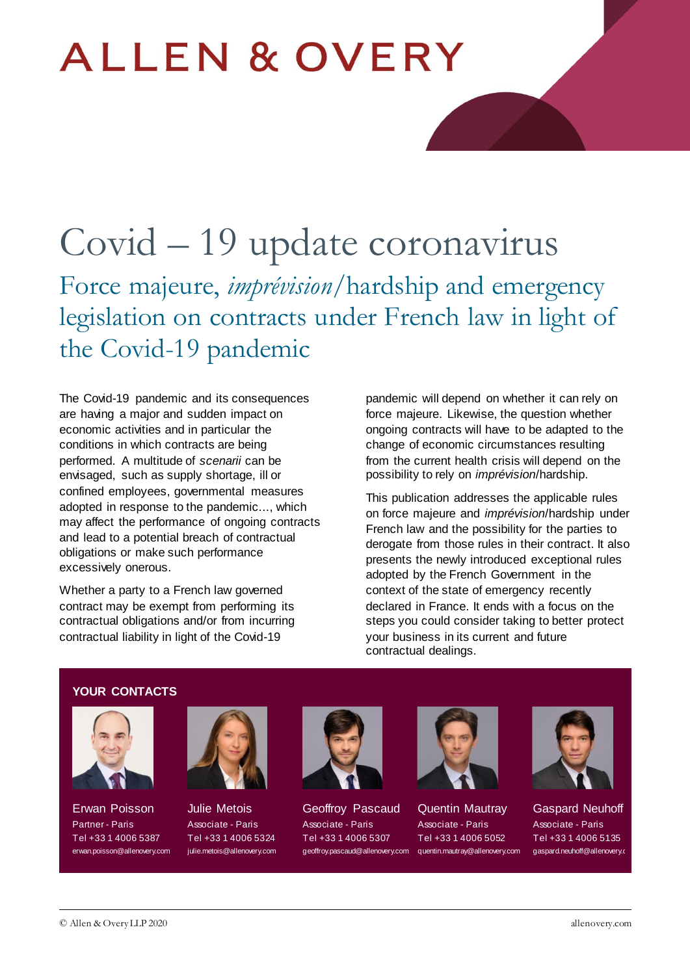# **ALLEN & OVERY**

## Covid – 19 update coronavirus Force majeure, *imprévision*/hardship and emergency

legislation on contracts under French law in light of the Covid-19 pandemic

The Covid-19 pandemic and its consequences are having a major and sudden impact on economic activities and in particular the conditions in which contracts are being performed. A multitude of *scenarii* can be envisaged, such as supply shortage, ill or confined employees, governmental measures adopted in response to the pandemic..., which may affect the performance of ongoing contracts and lead to a potential breach of contractual obligations or make such performance excessively onerous.

Whether a party to a French law governed contract may be exempt from performing its contractual obligations and/or from incurring contractual liability in light of the Covid-19

pandemic will depend on whether it can rely on force majeure. Likewise, the question whether ongoing contracts will have to be adapted to the change of economic circumstances resulting from the current health crisis will depend on the possibility to rely on *imprévision*/hardship.

This publication addresses the applicable rules on force majeure and *imprévision*/hardship under French law and the possibility for the parties to derogate from those rules in their contract. It also presents the newly introduced exceptional rules adopted by the French Government in the context of the state of emergency recently declared in France. It ends with a focus on the steps you could consider taking to better protect your business in its current and future contractual dealings.

#### **YOUR CONTACTS**



Erwan Poisson Partner - Paris Tel +33 1 4006 5387 [erwan.poisson@allenovery.com](mailto:erwan.poisson@allenovery.com)



Julie Metois Associate - Paris Tel +33 1 4006 5324 [julie.metois@allenovery.com](mailto:julie.metois@allenovery.com)



Geoffroy Pascaud Associate - Paris Tel +33 1 4006 5307 [geoffroy.pascaud@allenovery.com](mailto:geoffroy.pascaud@allenovery.com)



Quentin Mautray Associate - Paris Tel +33 1 4006 5052 [quentin.mautray@allenovery.com](mailto:quentin.mautray@allenovery.com)



Gaspard Neuhoff Associate - Paris Tel +33 1 4006 5135 gaspard.neuhoff@allenovery.c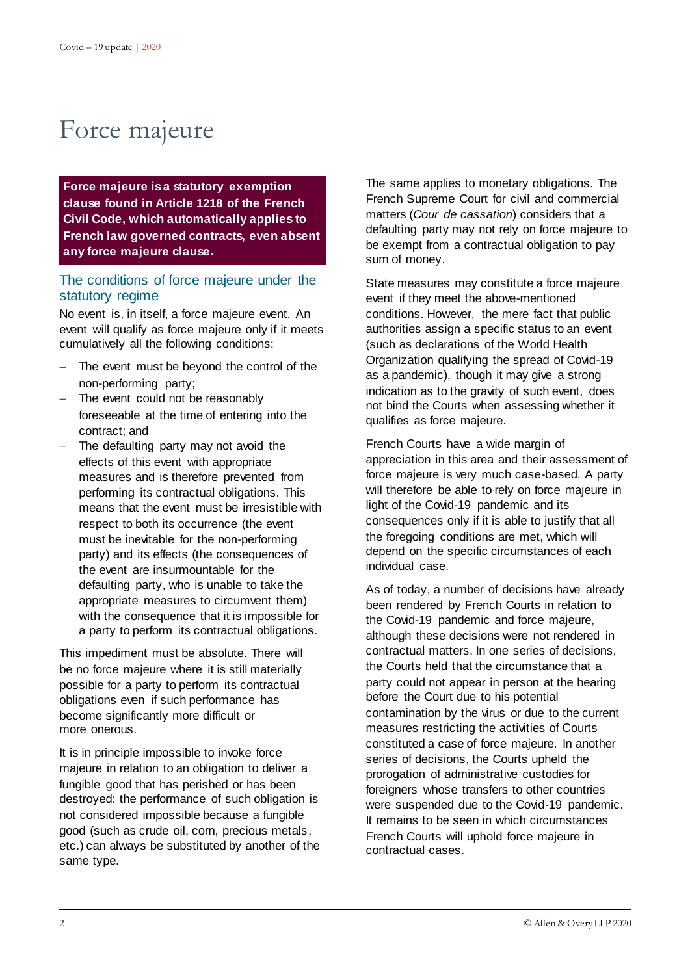### Force majeure

**Force majeure is a statutory exemption clause found in Article 1218 of the French Civil Code, which automatically applies to French law governed contracts, even absent any force majeure clause.**

#### The conditions of force majeure under the statutory regime

No event is, in itself, a force majeure event. An event will qualify as force majeure only if it meets cumulatively all the following conditions:

- The event must be beyond the control of the non-performing party;
- The event could not be reasonably foreseeable at the time of entering into the contract; and
- The defaulting party may not avoid the effects of this event with appropriate measures and is therefore prevented from performing its contractual obligations. This means that the event must be irresistible with respect to both its occurrence (the event must be inevitable for the non-performing party) and its effects (the consequences of the event are insurmountable for the defaulting party, who is unable to take the appropriate measures to circumvent them) with the consequence that it is impossible for a party to perform its contractual obligations.

This impediment must be absolute. There will be no force majeure where it is still materially possible for a party to perform its contractual obligations even if such performance has become significantly more difficult or more onerous.

It is in principle impossible to invoke force majeure in relation to an obligation to deliver a fungible good that has perished or has been destroyed: the performance of such obligation is not considered impossible because a fungible good (such as crude oil, corn, precious metals, etc.) can always be substituted by another of the same type.

The same applies to monetary obligations. The French Supreme Court for civil and commercial matters (*Cour de cassation*) considers that a defaulting party may not rely on force majeure to be exempt from a contractual obligation to pay sum of money.

State measures may constitute a force majeure event if they meet the above-mentioned conditions. However, the mere fact that public authorities assign a specific status to an event (such as declarations of the World Health Organization qualifying the spread of Covid-19 as a pandemic), though it may give a strong indication as to the gravity of such event, does not bind the Courts when assessing whether it qualifies as force majeure.

French Courts have a wide margin of appreciation in this area and their assessment of force majeure is very much case-based. A party will therefore be able to rely on force majeure in light of the Covid-19 pandemic and its consequences only if it is able to justify that all the foregoing conditions are met, which will depend on the specific circumstances of each individual case.

As of today, a number of decisions have already been rendered by French Courts in relation to the Covid-19 pandemic and force majeure, although these decisions were not rendered in contractual matters. In one series of decisions, the Courts held that the circumstance that a party could not appear in person at the hearing before the Court due to his potential contamination by the virus or due to the current measures restricting the activities of Courts constituted a case of force majeure. In another series of decisions, the Courts upheld the prorogation of administrative custodies for foreigners whose transfers to other countries were suspended due to the Covid-19 pandemic. It remains to be seen in which circumstances French Courts will uphold force majeure in contractual cases.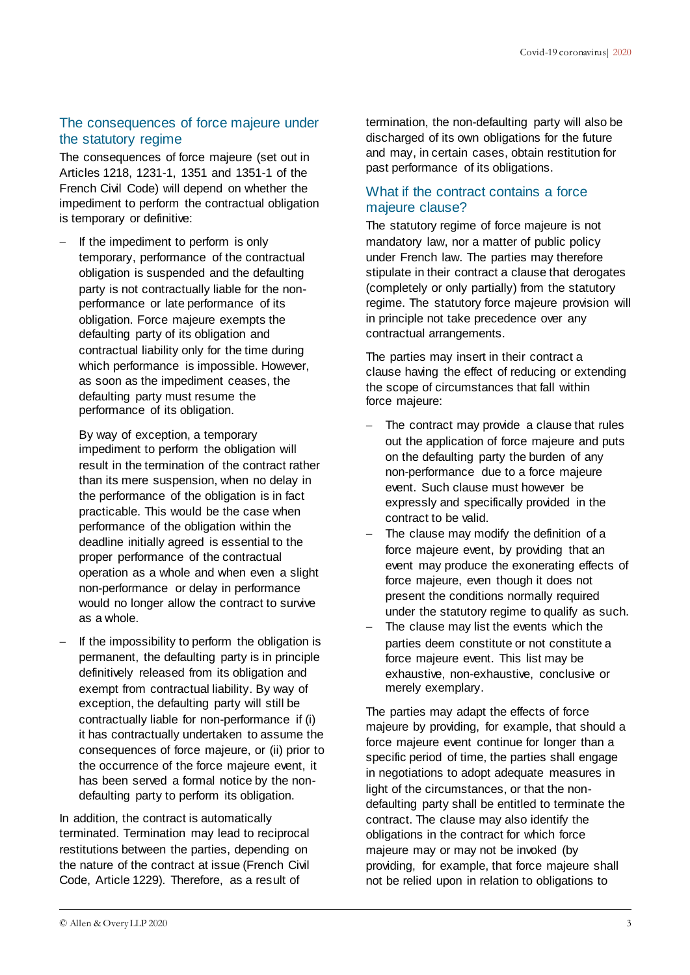### The consequences of force majeure under the statutory regime

The consequences of force majeure (set out in Articles 1218, 1231-1, 1351 and 1351-1 of the French Civil Code) will depend on whether the impediment to perform the contractual obligation is temporary or definitive:

 If the impediment to perform is only temporary, performance of the contractual obligation is suspended and the defaulting party is not contractually liable for the nonperformance or late performance of its obligation. Force majeure exempts the defaulting party of its obligation and contractual liability only for the time during which performance is impossible. However, as soon as the impediment ceases, the defaulting party must resume the performance of its obligation.

By way of exception, a temporary impediment to perform the obligation will result in the termination of the contract rather than its mere suspension, when no delay in the performance of the obligation is in fact practicable. This would be the case when performance of the obligation within the deadline initially agreed is essential to the proper performance of the contractual operation as a whole and when even a slight non-performance or delay in performance would no longer allow the contract to survive as a whole.

If the impossibility to perform the obligation is permanent, the defaulting party is in principle definitively released from its obligation and exempt from contractual liability. By way of exception, the defaulting party will still be contractually liable for non-performance if (i) it has contractually undertaken to assume the consequences of force majeure, or (ii) prior to the occurrence of the force majeure event, it has been served a formal notice by the nondefaulting party to perform its obligation.

In addition, the contract is automatically terminated. Termination may lead to reciprocal restitutions between the parties, depending on the nature of the contract at issue (French Civil Code, Article 1229). Therefore, as a result of

termination, the non-defaulting party will also be discharged of its own obligations for the future and may, in certain cases, obtain restitution for past performance of its obligations.

### What if the contract contains a force majeure clause?

The statutory regime of force majeure is not mandatory law, nor a matter of public policy under French law. The parties may therefore stipulate in their contract a clause that derogates (completely or only partially) from the statutory regime. The statutory force majeure provision will in principle not take precedence over any contractual arrangements.

The parties may insert in their contract a clause having the effect of reducing or extending the scope of circumstances that fall within force majeure:

- The contract may provide a clause that rules out the application of force majeure and puts on the defaulting party the burden of any non-performance due to a force majeure event. Such clause must however be expressly and specifically provided in the contract to be valid.
- The clause may modify the definition of a force majeure event, by providing that an event may produce the exonerating effects of force majeure, even though it does not present the conditions normally required under the statutory regime to qualify as such.
- $-$  The clause may list the events which the parties deem constitute or not constitute a force majeure event. This list may be exhaustive, non-exhaustive, conclusive or merely exemplary.

The parties may adapt the effects of force majeure by providing, for example, that should a force majeure event continue for longer than a specific period of time, the parties shall engage in negotiations to adopt adequate measures in light of the circumstances, or that the nondefaulting party shall be entitled to terminate the contract. The clause may also identify the obligations in the contract for which force majeure may or may not be invoked (by providing, for example, that force majeure shall not be relied upon in relation to obligations to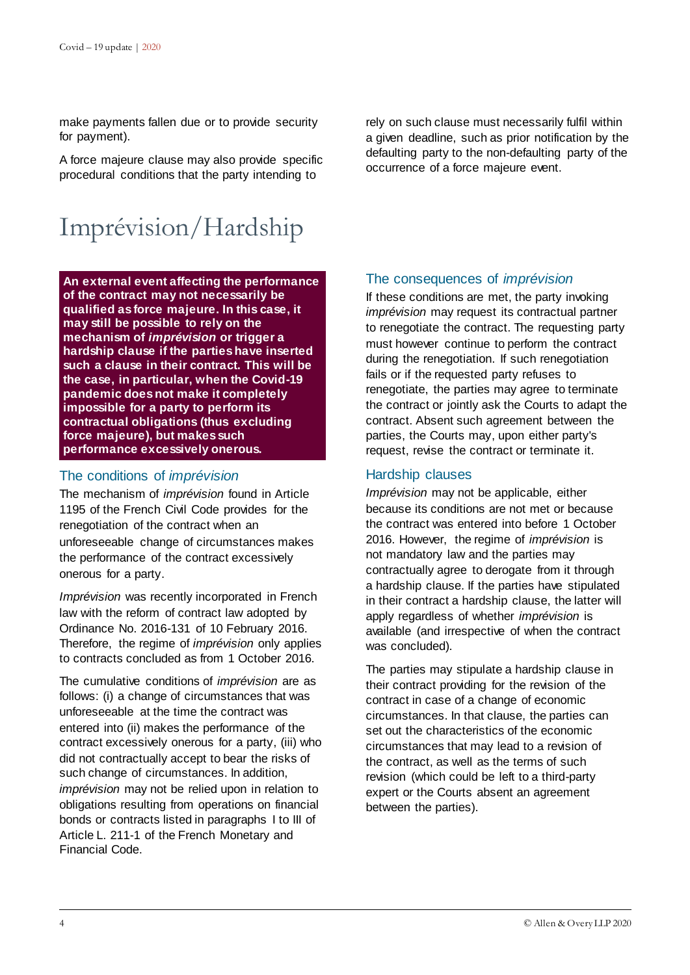make payments fallen due or to provide security for payment).

A force majeure clause may also provide specific procedural conditions that the party intending to

### Imprévision/Hardship

**An external event affecting the performance of the contract may not necessarily be qualified as force majeure. In this case, it may still be possible to rely on the mechanism of** *imprévision* **or trigger a hardship clause if the parties have inserted such a clause in their contract. This will be the case, in particular, when the Covid-19 pandemic does not make it completely impossible for a party to perform its contractual obligations (thus excluding force majeure), but makes such performance excessively onerous.**

### The conditions of *imprévision*

The mechanism of *imprévision* found in Article 1195 of the French Civil Code provides for the renegotiation of the contract when an unforeseeable change of circumstances makes the performance of the contract excessively onerous for a party.

*Imprévision* was recently incorporated in French law with the reform of contract law adopted by Ordinance No. 2016-131 of 10 February 2016. Therefore, the regime of *imprévision* only applies to contracts concluded as from 1 October 2016.

The cumulative conditions of *imprévision* are as follows: (i) a change of circumstances that was unforeseeable at the time the contract was entered into (ii) makes the performance of the contract excessively onerous for a party, (iii) who did not contractually accept to bear the risks of such change of circumstances. In addition, *imprévision* may not be relied upon in relation to obligations resulting from operations on financial bonds or contracts listed in paragraphs I to III of Article L. 211-1 of the French Monetary and Financial Code.

rely on such clause must necessarily fulfil within a given deadline, such as prior notification by the defaulting party to the non-defaulting party of the occurrence of a force majeure event.

### The consequences of *imprévision*

If these conditions are met, the party invoking *imprévision* may request its contractual partner to renegotiate the contract. The requesting party must however continue to perform the contract during the renegotiation. If such renegotiation fails or if the requested party refuses to renegotiate, the parties may agree to terminate the contract or jointly ask the Courts to adapt the contract. Absent such agreement between the parties, the Courts may, upon either party's request, revise the contract or terminate it.

### Hardship clauses

*Imprévision* may not be applicable, either because its conditions are not met or because the contract was entered into before 1 October 2016. However, the regime of *imprévision* is not mandatory law and the parties may contractually agree to derogate from it through a hardship clause. If the parties have stipulated in their contract a hardship clause, the latter will apply regardless of whether *imprévision* is available (and irrespective of when the contract was concluded).

The parties may stipulate a hardship clause in their contract providing for the revision of the contract in case of a change of economic circumstances. In that clause, the parties can set out the characteristics of the economic circumstances that may lead to a revision of the contract, as well as the terms of such revision (which could be left to a third-party expert or the Courts absent an agreement between the parties).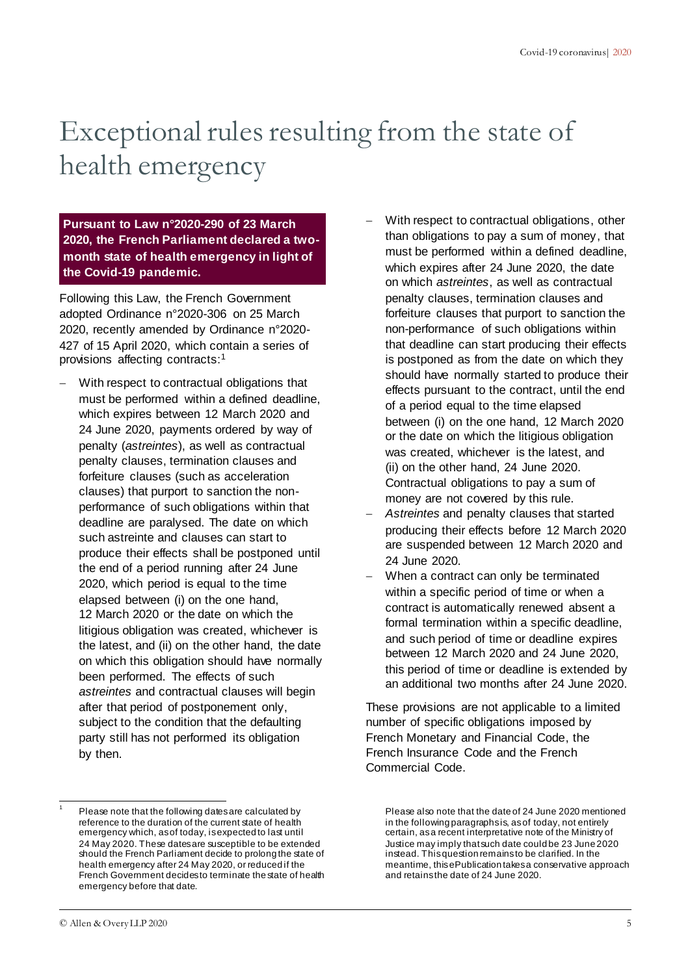## Exceptional rules resulting from the state of health emergency

**Pursuant to Law n°2020-290 of 23 March 2020, the French Parliament declared a twomonth state of health emergency in light of the Covid-19 pandemic.**

Following this Law, the French Government adopted Ordinance n°2020-306 on 25 March 2020, recently amended by Ordinance n°2020- 427 of 15 April 2020, which contain a series of provisions affecting contracts: 1

- With respect to contractual obligations that must be performed within a defined deadline, which expires between 12 March 2020 and 24 June 2020, payments ordered by way of penalty (*astreintes*), as well as contractual penalty clauses, termination clauses and forfeiture clauses (such as acceleration clauses) that purport to sanction the nonperformance of such obligations within that deadline are paralysed. The date on which such astreinte and clauses can start to produce their effects shall be postponed until the end of a period running after 24 June 2020, which period is equal to the time elapsed between (i) on the one hand, 12 March 2020 or the date on which the litigious obligation was created, whichever is the latest, and (ii) on the other hand, the date on which this obligation should have normally been performed. The effects of such *astreintes* and contractual clauses will begin after that period of postponement only, subject to the condition that the defaulting party still has not performed its obligation by then.
- With respect to contractual obligations, other than obligations to pay a sum of money, that must be performed within a defined deadline, which expires after 24 June 2020, the date on which *astreintes*, as well as contractual penalty clauses, termination clauses and forfeiture clauses that purport to sanction the non-performance of such obligations within that deadline can start producing their effects is postponed as from the date on which they should have normally started to produce their effects pursuant to the contract, until the end of a period equal to the time elapsed between (i) on the one hand, 12 March 2020 or the date on which the litigious obligation was created, whichever is the latest, and (ii) on the other hand, 24 June 2020. Contractual obligations to pay a sum of money are not covered by this rule.
- *Astreintes* and penalty clauses that started producing their effects before 12 March 2020 are suspended between 12 March 2020 and 24 June 2020.
- When a contract can only be terminated within a specific period of time or when a contract is automatically renewed absent a formal termination within a specific deadline, and such period of time or deadline expires between 12 March 2020 and 24 June 2020, this period of time or deadline is extended by an additional two months after 24 June 2020.

These provisions are not applicable to a limited number of specific obligations imposed by French Monetary and Financial Code, the French Insurance Code and the French Commercial Code.

 1

Please note that the following dates are calculated by reference to the duration of the current state of health emergency which, as of today, is expected to last until 24 May 2020. These dates are susceptible to be extended should the French Parliament decide to prolong the state of health emergency after 24 May 2020, or reduced if the French Government decidesto terminate the state of health emergency before that date.

Please also note that the date of 24 June 2020 mentioned in the following paragraphs is, as of today, not entirely certain, as a recent interpretative note of the Ministry of Justice may imply that such date could be 23 June 2020 instead. This question remains to be clarified. In the meantime, this ePublication takes a conservative approach and retains the date of 24 June 2020.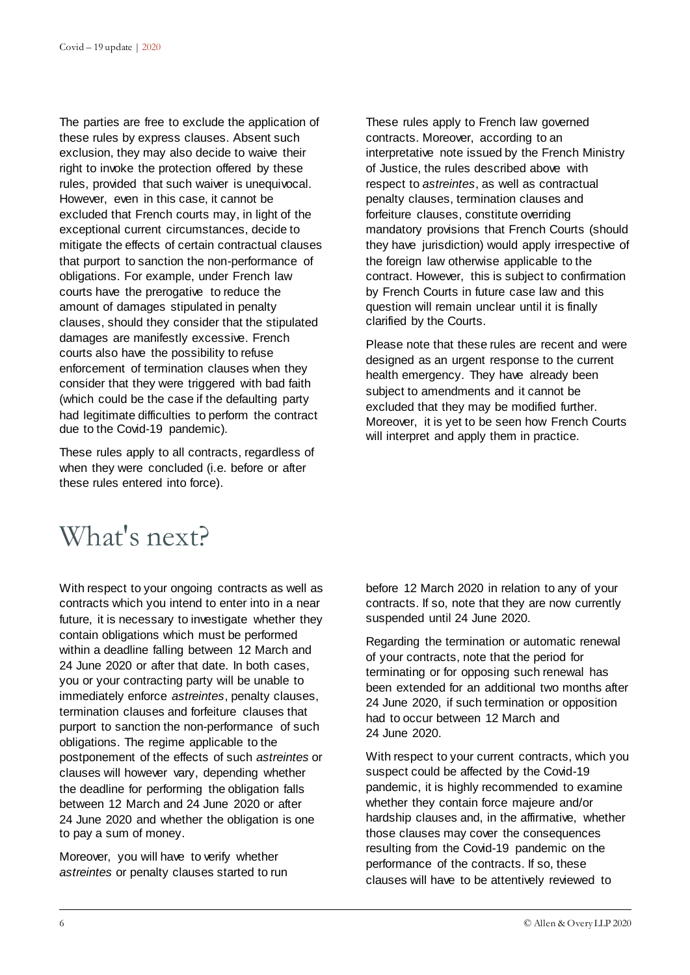The parties are free to exclude the application of these rules by express clauses. Absent such exclusion, they may also decide to waive their right to invoke the protection offered by these rules, provided that such waiver is unequivocal. However, even in this case, it cannot be excluded that French courts may, in light of the exceptional current circumstances, decide to mitigate the effects of certain contractual clauses that purport to sanction the non-performance of obligations. For example, under French law courts have the prerogative to reduce the amount of damages stipulated in penalty clauses, should they consider that the stipulated damages are manifestly excessive. French courts also have the possibility to refuse enforcement of termination clauses when they consider that they were triggered with bad faith (which could be the case if the defaulting party had legitimate difficulties to perform the contract due to the Covid-19 pandemic).

These rules apply to all contracts, regardless of when they were concluded (i.e. before or after these rules entered into force).

These rules apply to French law governed contracts. Moreover, according to an interpretative note issued by the French Ministry of Justice, the rules described above with respect to *astreintes*, as well as contractual penalty clauses, termination clauses and forfeiture clauses, constitute overriding mandatory provisions that French Courts (should they have jurisdiction) would apply irrespective of the foreign law otherwise applicable to the contract. However, this is subject to confirmation by French Courts in future case law and this question will remain unclear until it is finally clarified by the Courts.

Please note that these rules are recent and were designed as an urgent response to the current health emergency. They have already been subject to amendments and it cannot be excluded that they may be modified further. Moreover, it is yet to be seen how French Courts will interpret and apply them in practice.

### What's next?

With respect to your ongoing contracts as well as contracts which you intend to enter into in a near future, it is necessary to investigate whether they contain obligations which must be performed within a deadline falling between 12 March and 24 June 2020 or after that date. In both cases, you or your contracting party will be unable to immediately enforce *astreintes*, penalty clauses, termination clauses and forfeiture clauses that purport to sanction the non-performance of such obligations. The regime applicable to the postponement of the effects of such *astreintes* or clauses will however vary, depending whether the deadline for performing the obligation falls between 12 March and 24 June 2020 or after 24 June 2020 and whether the obligation is one to pay a sum of money.

Moreover, you will have to verify whether *astreintes* or penalty clauses started to run before 12 March 2020 in relation to any of your contracts. If so, note that they are now currently suspended until 24 June 2020.

Regarding the termination or automatic renewal of your contracts, note that the period for terminating or for opposing such renewal has been extended for an additional two months after 24 June 2020, if such termination or opposition had to occur between 12 March and 24 June 2020.

With respect to your current contracts, which you suspect could be affected by the Covid-19 pandemic, it is highly recommended to examine whether they contain force majeure and/or hardship clauses and, in the affirmative, whether those clauses may cover the consequences resulting from the Covid-19 pandemic on the performance of the contracts. If so, these clauses will have to be attentively reviewed to